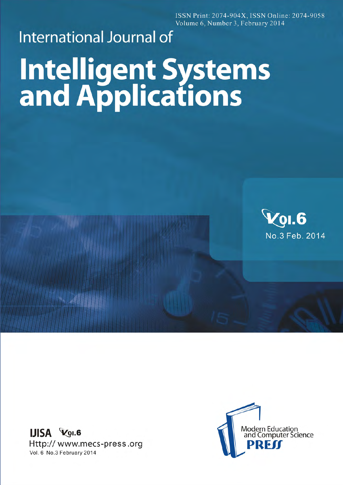ISSN Print: 2074-904X, ISSN Online: 2074-9058 Volume 6, Number 3, February 2014

## **International Journal of Intelligent Systems**<br>and Applications



**IJISA VOI.6** Http:// www.mecs-press.org Vol. 6 No.3 February 2014

**> 周围**